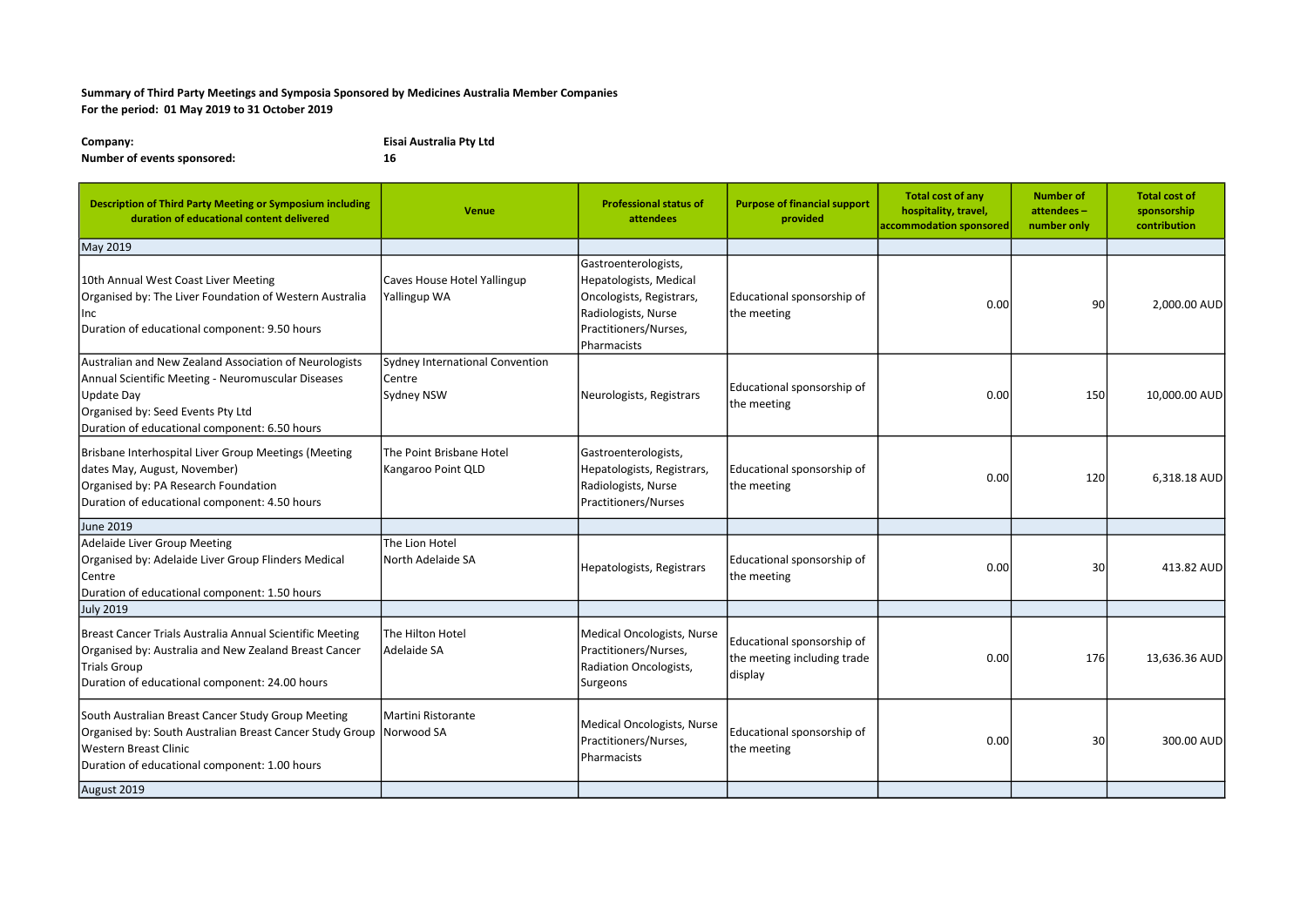## Summary of Third Party Meetings and Symposia Sponsored by Medicines Australia Member Companies For the period: 01 May 2019 to 31 October 2019

| Company:                    | Eisai Australia Pty Ltd |  |  |  |
|-----------------------------|-------------------------|--|--|--|
| Number of events sponsored: | 16                      |  |  |  |

| <b>Description of Third Party Meeting or Symposium including</b><br>duration of educational content delivered                                                                                                           | <b>Venue</b>                                                   | <b>Professional status of</b><br>attendees                                                                                                | <b>Purpose of financial support</b><br>provided                      | <b>Total cost of any</b><br>hospitality, travel,<br>accommodation sponsored | <b>Number of</b><br>attendees-<br>number only | <b>Total cost of</b><br>sponsorship<br>contribution |
|-------------------------------------------------------------------------------------------------------------------------------------------------------------------------------------------------------------------------|----------------------------------------------------------------|-------------------------------------------------------------------------------------------------------------------------------------------|----------------------------------------------------------------------|-----------------------------------------------------------------------------|-----------------------------------------------|-----------------------------------------------------|
| May 2019                                                                                                                                                                                                                |                                                                |                                                                                                                                           |                                                                      |                                                                             |                                               |                                                     |
| 10th Annual West Coast Liver Meeting<br>Organised by: The Liver Foundation of Western Australia<br>Inc<br>Duration of educational component: 9.50 hours                                                                 | Caves House Hotel Yallingup<br>Yallingup WA                    | Gastroenterologists,<br>Hepatologists, Medical<br>Oncologists, Registrars,<br>Radiologists, Nurse<br>Practitioners/Nurses,<br>Pharmacists | Educational sponsorship of<br>the meeting                            | 0.00                                                                        | 90                                            | 2,000.00 AUD                                        |
| Australian and New Zealand Association of Neurologists<br>Annual Scientific Meeting - Neuromuscular Diseases<br><b>Update Day</b><br>Organised by: Seed Events Pty Ltd<br>Duration of educational component: 6.50 hours | Sydney International Convention<br>Centre<br><b>Sydney NSW</b> | Neurologists, Registrars                                                                                                                  | Educational sponsorship of<br>the meeting                            | 0.00                                                                        | 150                                           | 10,000.00 AUD                                       |
| Brisbane Interhospital Liver Group Meetings (Meeting<br>dates May, August, November)<br>Organised by: PA Research Foundation<br>Duration of educational component: 4.50 hours                                           | The Point Brisbane Hotel<br>Kangaroo Point QLD                 | Gastroenterologists,<br>Hepatologists, Registrars,<br>Radiologists, Nurse<br>Practitioners/Nurses                                         | Educational sponsorship of<br>the meeting                            | 0.00                                                                        | 120                                           | 6,318.18 AUD                                        |
| June 2019                                                                                                                                                                                                               |                                                                |                                                                                                                                           |                                                                      |                                                                             |                                               |                                                     |
| Adelaide Liver Group Meeting<br>Organised by: Adelaide Liver Group Flinders Medical<br>Centre<br>Duration of educational component: 1.50 hours                                                                          | The Lion Hotel<br>North Adelaide SA                            | Hepatologists, Registrars                                                                                                                 | Educational sponsorship of<br>the meeting                            | 0.00                                                                        | 30                                            | 413.82 AUD                                          |
| <b>July 2019</b>                                                                                                                                                                                                        |                                                                |                                                                                                                                           |                                                                      |                                                                             |                                               |                                                     |
| Breast Cancer Trials Australia Annual Scientific Meeting<br>Organised by: Australia and New Zealand Breast Cancer<br>Trials Group<br>Duration of educational component: 24.00 hours                                     | The Hilton Hotel<br>Adelaide SA                                | Medical Oncologists, Nurse<br>Practitioners/Nurses,<br>Radiation Oncologists,<br>Surgeons                                                 | Educational sponsorship of<br>the meeting including trade<br>display | 0.00                                                                        | 176                                           | 13,636.36 AUD                                       |
| South Australian Breast Cancer Study Group Meeting<br>Organised by: South Australian Breast Cancer Study Group Norwood SA<br>Western Breast Clinic<br>Duration of educational component: 1.00 hours                     | Martini Ristorante                                             | <b>Medical Oncologists, Nurse</b><br>Practitioners/Nurses,<br>Pharmacists                                                                 | Educational sponsorship of<br>the meeting                            | 0.00                                                                        | 30                                            | 300.00 AUD                                          |
| August 2019                                                                                                                                                                                                             |                                                                |                                                                                                                                           |                                                                      |                                                                             |                                               |                                                     |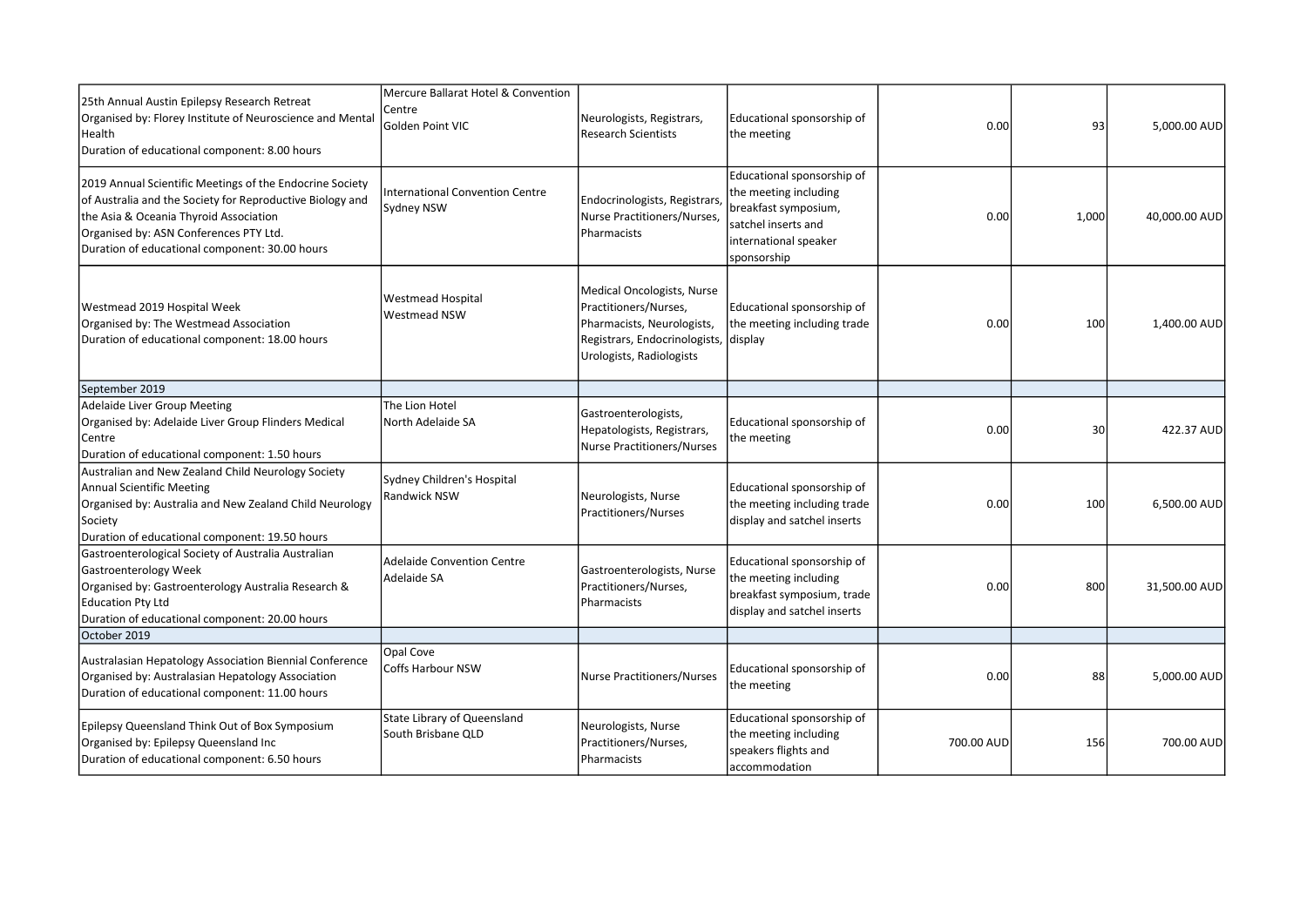| 25th Annual Austin Epilepsy Research Retreat<br>Organised by: Florey Institute of Neuroscience and Mental<br>Health<br>Duration of educational component: 8.00 hours                                                                                        | Mercure Ballarat Hotel & Convention<br>Centre<br>Golden Point VIC | Neurologists, Registrars,<br><b>Research Scientists</b>                                                                                                | Educational sponsorship of<br>the meeting                                                                                                  | 0.00       | 93    | 5,000.00 AUD  |
|-------------------------------------------------------------------------------------------------------------------------------------------------------------------------------------------------------------------------------------------------------------|-------------------------------------------------------------------|--------------------------------------------------------------------------------------------------------------------------------------------------------|--------------------------------------------------------------------------------------------------------------------------------------------|------------|-------|---------------|
| 2019 Annual Scientific Meetings of the Endocrine Society<br>of Australia and the Society for Reproductive Biology and<br>the Asia & Oceania Thyroid Association<br>Organised by: ASN Conferences PTY Ltd.<br>Duration of educational component: 30.00 hours | International Convention Centre<br><b>Sydney NSW</b>              | Endocrinologists, Registrars,<br>Nurse Practitioners/Nurses,<br>Pharmacists                                                                            | Educational sponsorship of<br>the meeting including<br>breakfast symposium,<br>satchel inserts and<br>international speaker<br>sponsorship | 0.00       | 1,000 | 40,000.00 AUD |
| Westmead 2019 Hospital Week<br>Organised by: The Westmead Association<br>Duration of educational component: 18.00 hours                                                                                                                                     | <b>Westmead Hospital</b><br><b>Westmead NSW</b>                   | Medical Oncologists, Nurse<br>Practitioners/Nurses,<br>Pharmacists, Neurologists,<br>Registrars, Endocrinologists, display<br>Urologists, Radiologists | Educational sponsorship of<br>the meeting including trade                                                                                  | 0.00       | 100   | 1,400.00 AUD  |
| September 2019                                                                                                                                                                                                                                              |                                                                   |                                                                                                                                                        |                                                                                                                                            |            |       |               |
| Adelaide Liver Group Meeting<br>Organised by: Adelaide Liver Group Flinders Medical<br>Centre<br>Duration of educational component: 1.50 hours                                                                                                              | The Lion Hotel<br>North Adelaide SA                               | Gastroenterologists,<br>Hepatologists, Registrars,<br><b>Nurse Practitioners/Nurses</b>                                                                | Educational sponsorship of<br>the meeting                                                                                                  | 0.00       | 30    | 422.37 AUD    |
| Australian and New Zealand Child Neurology Society<br><b>Annual Scientific Meeting</b><br>Organised by: Australia and New Zealand Child Neurology<br>Society<br>Duration of educational component: 19.50 hours                                              | Sydney Children's Hospital<br><b>Randwick NSW</b>                 | Neurologists, Nurse<br>Practitioners/Nurses                                                                                                            | Educational sponsorship of<br>the meeting including trade<br>display and satchel inserts                                                   | 0.00       | 100   | 6,500.00 AUD  |
| Gastroenterological Society of Australia Australian<br>Gastroenterology Week<br>Organised by: Gastroenterology Australia Research &<br>Education Pty Ltd<br>Duration of educational component: 20.00 hours                                                  | <b>Adelaide Convention Centre</b><br>Adelaide SA                  | Gastroenterologists, Nurse<br>Practitioners/Nurses,<br>Pharmacists                                                                                     | Educational sponsorship of<br>the meeting including<br>breakfast symposium, trade<br>display and satchel inserts                           | 0.00       | 800   | 31,500.00 AUD |
| October 2019                                                                                                                                                                                                                                                |                                                                   |                                                                                                                                                        |                                                                                                                                            |            |       |               |
| Australasian Hepatology Association Biennial Conference<br>Organised by: Australasian Hepatology Association<br>Duration of educational component: 11.00 hours                                                                                              | Opal Cove<br><b>Coffs Harbour NSW</b>                             | Nurse Practitioners/Nurses                                                                                                                             | Educational sponsorship of<br>the meeting                                                                                                  | 0.00       | 88    | 5,000.00 AUD  |
| Epilepsy Queensland Think Out of Box Symposium<br>Organised by: Epilepsy Queensland Inc<br>Duration of educational component: 6.50 hours                                                                                                                    | State Library of Queensland<br>South Brisbane QLD                 | Neurologists, Nurse<br>Practitioners/Nurses,<br>Pharmacists                                                                                            | Educational sponsorship of<br>the meeting including<br>speakers flights and<br>accommodation                                               | 700.00 AUD | 156   | 700.00 AUD    |